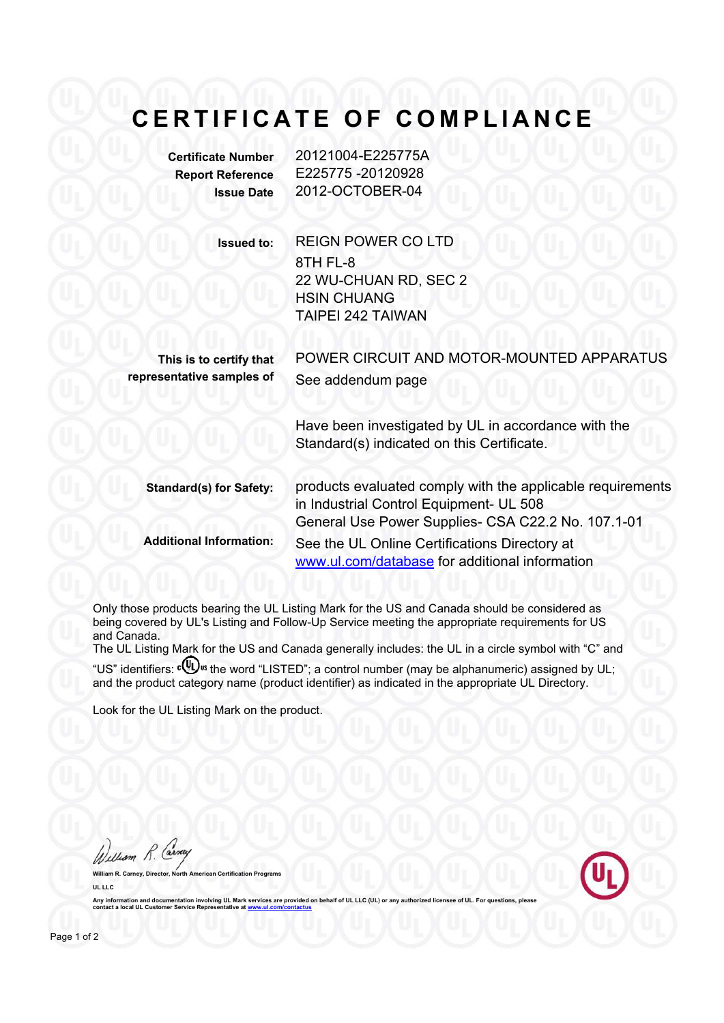## **CERTIFICATE OF COMPLIANCE**

**Certificate Number** 20121004-E225775A **Report Reference** E225775 -20120928 **Issue Date** 2012-OCTOBER-04

> **Issued to:** REIGN POWER CO LTD 8TH FL-8 22 WU-CHUAN RD, SEC 2 HSIN CHUANG TAIPEI 242 TAIWAN

**This is to certify that representative samples of**

POWER CIRCUIT AND MOTOR-MOUNTED APPARATUS See addendum page

Have been investigated by UL in accordance with the Standard(s) indicated on this Certificate.

**Standard(s) for Safety:** products evaluated comply with the applicable requirements in Industrial Control Equipment- UL 508 General Use Power Supplies- CSA C22.2 No. 107.1-01 **Additional Information:** See the UL Online Certifications Directory at www.ul.com/database for additional information

Only those products bearing the UL Listing Mark for the US and Canada should be considered as being covered by UL's Listing and Follow-Up Service meeting the appropriate requirements for US and Canada.

The UL Listing Mark for the US and Canada generally includes: the UL in a circle symbol with "C" and "US" identifiers:  $\mathbf{W}$ <sup>s</sup> the word "LISTED"; a control number (may be alphanumeric) assigned by UL; and the product category name (product identifier) as indicated in the appropriate UL Directory.

Look for the UL Listing Mark on the product.

William R. Car **William R. Carney, Director, North American Certification Programs**

**UL LLC** Any information and documentation involving UL Mark services are provided on behalf of UL LLC (UL) or **cantabilism and UL Customer Service Represent**